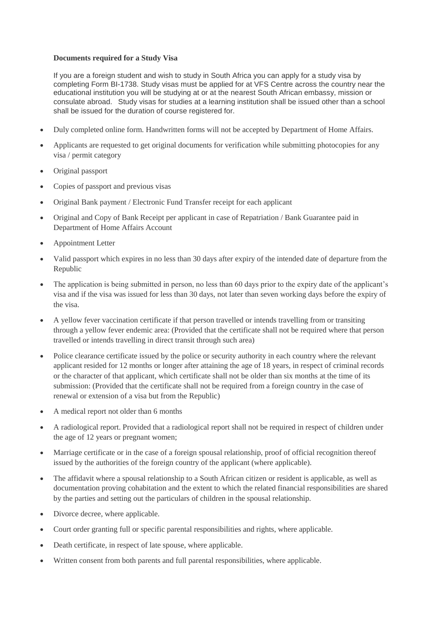## **Documents required for a Study Visa**

If you are a foreign student and wish to study in South Africa you can apply for a study visa by completing Form BI-1738. Study visas must be applied for at VFS Centre across the country near the educational institution you will be studying at or at the nearest South African embassy, mission or consulate abroad. Study visas for studies at a learning institution shall be issued other than a school shall be issued for the duration of course registered for.

- Duly completed online form. Handwritten forms will not be accepted by Department of Home Affairs.
- Applicants are requested to get original documents for verification while submitting photocopies for any visa / permit category
- Original passport
- Copies of passport and previous visas
- Original Bank payment / Electronic Fund Transfer receipt for each applicant
- Original and Copy of Bank Receipt per applicant in case of Repatriation / Bank Guarantee paid in Department of Home Affairs Account
- Appointment Letter
- Valid passport which expires in no less than 30 days after expiry of the intended date of departure from the Republic
- The application is being submitted in person, no less than 60 days prior to the expiry date of the applicant's visa and if the visa was issued for less than 30 days, not later than seven working days before the expiry of the visa.
- A yellow fever vaccination certificate if that person travelled or intends travelling from or transiting through a yellow fever endemic area: (Provided that the certificate shall not be required where that person travelled or intends travelling in direct transit through such area)
- Police clearance certificate issued by the police or security authority in each country where the relevant applicant resided for 12 months or longer after attaining the age of 18 years, in respect of criminal records or the character of that applicant, which certificate shall not be older than six months at the time of its submission: (Provided that the certificate shall not be required from a foreign country in the case of renewal or extension of a visa but from the Republic)
- A medical report not older than 6 months
- A radiological report. Provided that a radiological report shall not be required in respect of children under the age of 12 years or pregnant women;
- Marriage certificate or in the case of a foreign spousal relationship, proof of official recognition thereof issued by the authorities of the foreign country of the applicant (where applicable).
- The affidavit where a spousal relationship to a South African citizen or resident is applicable, as well as documentation proving cohabitation and the extent to which the related financial responsibilities are shared by the parties and setting out the particulars of children in the spousal relationship.
- Divorce decree, where applicable.
- Court order granting full or specific parental responsibilities and rights, where applicable.
- Death certificate, in respect of late spouse, where applicable.
- Written consent from both parents and full parental responsibilities, where applicable.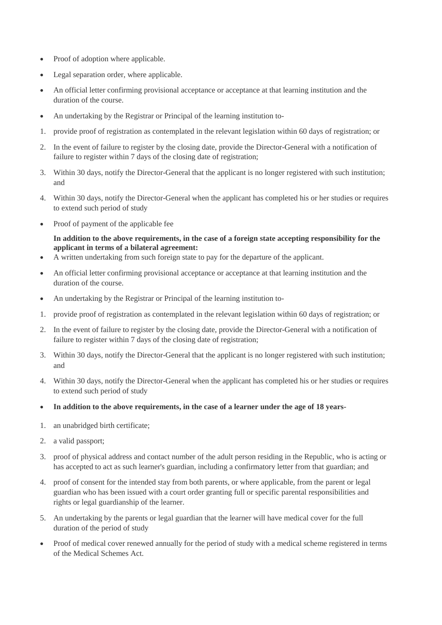- Proof of adoption where applicable.
- Legal separation order, where applicable.
- An official letter confirming provisional acceptance or acceptance at that learning institution and the duration of the course.
- An undertaking by the Registrar or Principal of the learning institution to-
- 1. provide proof of registration as contemplated in the relevant legislation within 60 days of registration; or
- 2. In the event of failure to register by the closing date, provide the Director-General with a notification of failure to register within 7 days of the closing date of registration;
- 3. Within 30 days, notify the Director-General that the applicant is no longer registered with such institution; and
- 4. Within 30 days, notify the Director-General when the applicant has completed his or her studies or requires to extend such period of study
- Proof of payment of the applicable fee

## **In addition to the above requirements, in the case of a foreign state accepting responsibility for the applicant in terms of a bilateral agreement:**

- A written undertaking from such foreign state to pay for the departure of the applicant.
- An official letter confirming provisional acceptance or acceptance at that learning institution and the duration of the course.
- An undertaking by the Registrar or Principal of the learning institution to-
- 1. provide proof of registration as contemplated in the relevant legislation within 60 days of registration; or
- 2. In the event of failure to register by the closing date, provide the Director-General with a notification of failure to register within 7 days of the closing date of registration;
- 3. Within 30 days, notify the Director-General that the applicant is no longer registered with such institution; and
- 4. Within 30 days, notify the Director-General when the applicant has completed his or her studies or requires to extend such period of study
- **In addition to the above requirements, in the case of a learner under the age of 18 years-**
- 1. an unabridged birth certificate;
- 2. a valid passport;
- 3. proof of physical address and contact number of the adult person residing in the Republic, who is acting or has accepted to act as such learner's guardian, including a confirmatory letter from that guardian; and
- 4. proof of consent for the intended stay from both parents, or where applicable, from the parent or legal guardian who has been issued with a court order granting full or specific parental responsibilities and rights or legal guardianship of the learner.
- 5. An undertaking by the parents or legal guardian that the learner will have medical cover for the full duration of the period of study
- Proof of medical cover renewed annually for the period of study with a medical scheme registered in terms of the Medical Schemes Act.